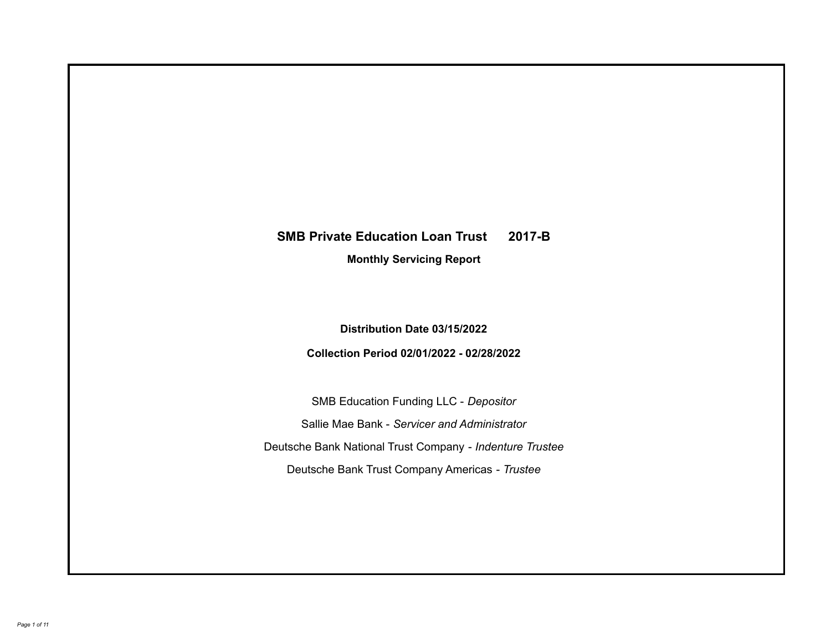# **SMB Private Education Loan Trust 2017-B**

**Monthly Servicing Report**

**Distribution Date 03/15/2022**

**Collection Period 02/01/2022 - 02/28/2022**

SMB Education Funding LLC - *Depositor* Sallie Mae Bank - *Servicer and Administrator* Deutsche Bank National Trust Company - *Indenture Trustee* Deutsche Bank Trust Company Americas - *Trustee*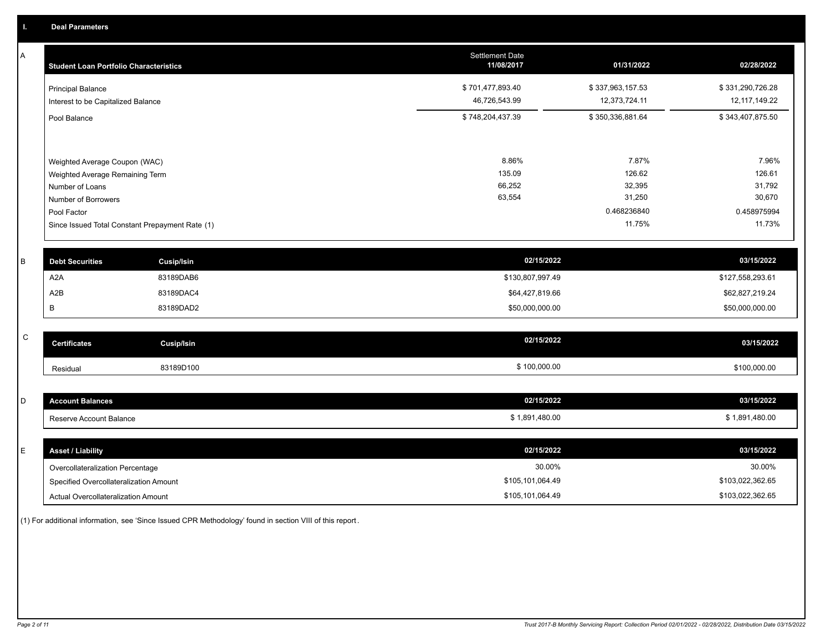A

| A            | <b>Student Loan Portfolio Characteristics</b> |                                                 | <b>Settlement Date</b><br>11/08/2017 | 01/31/2022       | 02/28/2022       |
|--------------|-----------------------------------------------|-------------------------------------------------|--------------------------------------|------------------|------------------|
|              | <b>Principal Balance</b>                      |                                                 | \$701,477,893.40                     | \$337,963,157.53 | \$331,290,726.28 |
|              | Interest to be Capitalized Balance            |                                                 | 46,726,543.99                        | 12,373,724.11    | 12, 117, 149.22  |
|              | Pool Balance                                  |                                                 | \$748,204,437.39                     | \$350,336,881.64 | \$343,407,875.50 |
|              |                                               |                                                 |                                      |                  |                  |
|              | Weighted Average Coupon (WAC)                 |                                                 | 8.86%                                | 7.87%            | 7.96%            |
|              | Weighted Average Remaining Term               |                                                 | 135.09                               | 126.62           | 126.61           |
|              | Number of Loans                               |                                                 | 66,252                               | 32,395           | 31,792           |
|              | Number of Borrowers                           |                                                 | 63,554                               | 31,250           | 30,670           |
|              | Pool Factor                                   |                                                 |                                      | 0.468236840      | 0.458975994      |
|              |                                               | Since Issued Total Constant Prepayment Rate (1) |                                      | 11.75%           | 11.73%           |
|              |                                               |                                                 |                                      |                  |                  |
| B            | <b>Debt Securities</b>                        | <b>Cusip/Isin</b>                               | 02/15/2022                           |                  | 03/15/2022       |
|              | A <sub>2</sub> A                              | 83189DAB6                                       | \$130,807,997.49                     |                  | \$127,558,293.61 |
|              | A2B                                           | 83189DAC4                                       | \$64,427,819.66                      |                  | \$62,827,219.24  |
|              | В                                             | 83189DAD2                                       | \$50,000,000.00                      |                  | \$50,000,000.00  |
|              |                                               |                                                 |                                      |                  |                  |
| $\mathsf{C}$ | <b>Certificates</b>                           | <b>Cusip/Isin</b>                               | 02/15/2022                           |                  | 03/15/2022       |
|              | Residual                                      | 83189D100                                       | \$100,000.00                         |                  | \$100,000.00     |
|              |                                               |                                                 |                                      |                  |                  |
| D            | <b>Account Balances</b>                       |                                                 | 02/15/2022                           |                  | 03/15/2022       |
|              | Reserve Account Balance                       |                                                 | \$1,891,480.00                       |                  | \$1,891,480.00   |
|              |                                               |                                                 |                                      |                  |                  |
| E            | <b>Asset / Liability</b>                      |                                                 | 02/15/2022                           |                  | 03/15/2022       |
|              | Overcollateralization Percentage              |                                                 | 30.00%                               |                  | 30.00%           |

Specified Overcollateralization Amount

Actual Overcollateralization Amount \$105,101,064.49

(1) For additional information, see 'Since Issued CPR Methodology' found in section VIII of this report .

\$103,022,362.65 \$103,022,362.65

\$105,101,064.49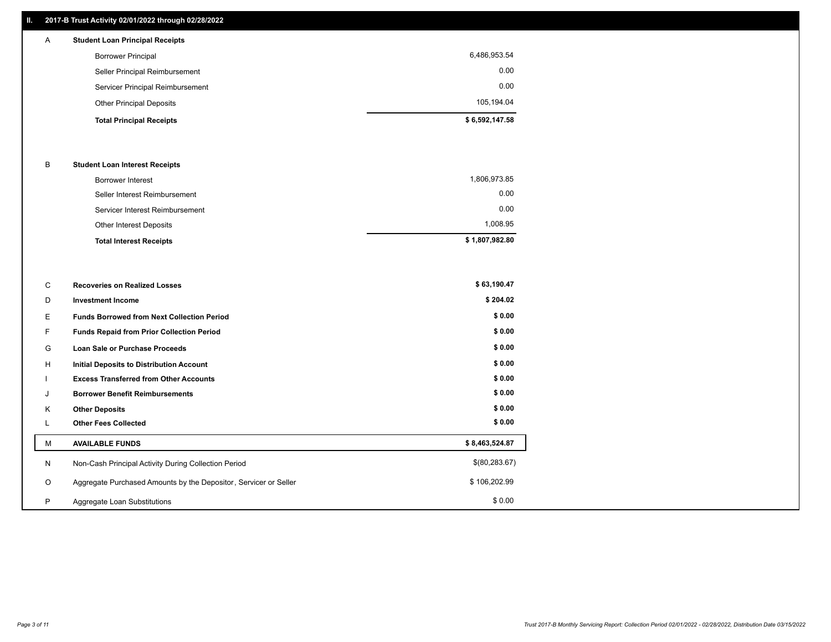# **II. 2017-B Trust Activity 02/01/2022 through 02/28/2022**

| $\mathsf{A}$ | <b>Student Loan Principal Receipts</b> |                |
|--------------|----------------------------------------|----------------|
|              | <b>Borrower Principal</b>              | 6,486,953.54   |
|              | Seller Principal Reimbursement         | 0.00           |
|              | Servicer Principal Reimbursement       | 0.00           |
|              | <b>Other Principal Deposits</b>        | 105,194.04     |
|              | <b>Total Principal Receipts</b>        | \$6,592,147.58 |

## B **Student Loan Interest Receipts**

| <b>Total Interest Receipts</b>  | \$1,807,982.80 |
|---------------------------------|----------------|
| Other Interest Deposits         | 1,008.95       |
| Servicer Interest Reimbursement | 0.00           |
| Seller Interest Reimbursement   | 0.00           |
| Borrower Interest               | 1,806,973.85   |

| С       | <b>Recoveries on Realized Losses</b>                             | \$63,190.47    |
|---------|------------------------------------------------------------------|----------------|
| D       | <b>Investment Income</b>                                         | \$204.02       |
| Е       | <b>Funds Borrowed from Next Collection Period</b>                | \$0.00         |
| F.      | <b>Funds Repaid from Prior Collection Period</b>                 | \$0.00         |
| G       | Loan Sale or Purchase Proceeds                                   | \$0.00         |
| н       | Initial Deposits to Distribution Account                         | \$0.00         |
|         | <b>Excess Transferred from Other Accounts</b>                    | \$0.00         |
| J       | <b>Borrower Benefit Reimbursements</b>                           | \$0.00         |
| K       | <b>Other Deposits</b>                                            | \$0.00         |
| ┕       | <b>Other Fees Collected</b>                                      | \$0.00         |
| м       | <b>AVAILABLE FUNDS</b>                                           | \$8,463,524.87 |
| N       | Non-Cash Principal Activity During Collection Period             | \$(80, 283.67) |
| $\circ$ | Aggregate Purchased Amounts by the Depositor, Servicer or Seller | \$106,202.99   |
| P       | Aggregate Loan Substitutions                                     | \$0.00         |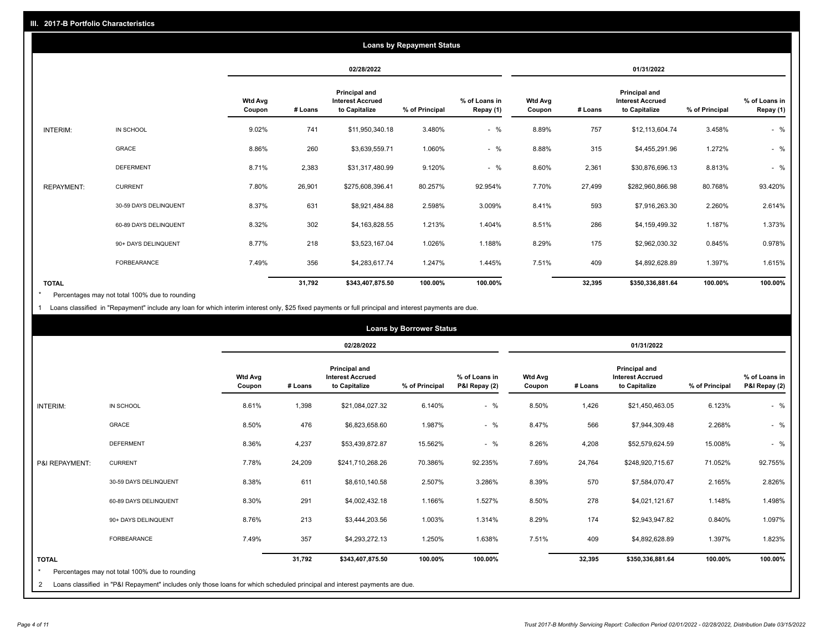|                   | <b>Loans by Repayment Status</b> |                          |            |                                                           |                |                            |                          |         |                                                           |                |                            |
|-------------------|----------------------------------|--------------------------|------------|-----------------------------------------------------------|----------------|----------------------------|--------------------------|---------|-----------------------------------------------------------|----------------|----------------------------|
|                   |                                  |                          | 02/28/2022 |                                                           |                | 01/31/2022                 |                          |         |                                                           |                |                            |
|                   |                                  | <b>Wtd Avg</b><br>Coupon | # Loans    | Principal and<br><b>Interest Accrued</b><br>to Capitalize | % of Principal | % of Loans in<br>Repay (1) | <b>Wtd Avg</b><br>Coupon | # Loans | Principal and<br><b>Interest Accrued</b><br>to Capitalize | % of Principal | % of Loans in<br>Repay (1) |
| INTERIM:          | IN SCHOOL                        | 9.02%                    | 741        | \$11,950,340.18                                           | 3.480%         | $-$ %                      | 8.89%                    | 757     | \$12,113,604.74                                           | 3.458%         | $-$ %                      |
|                   | <b>GRACE</b>                     | 8.86%                    | 260        | \$3,639,559.71                                            | 1.060%         | $-$ %                      | 8.88%                    | 315     | \$4,455,291.96                                            | 1.272%         | $-$ %                      |
|                   | <b>DEFERMENT</b>                 | 8.71%                    | 2,383      | \$31,317,480.99                                           | 9.120%         | $-$ %                      | 8.60%                    | 2,361   | \$30,876,696.13                                           | 8.813%         | $-$ %                      |
| <b>REPAYMENT:</b> | <b>CURRENT</b>                   | 7.80%                    | 26,901     | \$275,608,396.41                                          | 80.257%        | 92.954%                    | 7.70%                    | 27,499  | \$282,960,866.98                                          | 80.768%        | 93.420%                    |
|                   | 30-59 DAYS DELINQUENT            | 8.37%                    | 631        | \$8,921,484.88                                            | 2.598%         | 3.009%                     | 8.41%                    | 593     | \$7,916,263.30                                            | 2.260%         | 2.614%                     |
|                   | 60-89 DAYS DELINQUENT            | 8.32%                    | 302        | \$4,163,828.55                                            | 1.213%         | 1.404%                     | 8.51%                    | 286     | \$4,159,499.32                                            | 1.187%         | 1.373%                     |
|                   | 90+ DAYS DELINQUENT              | 8.77%                    | 218        | \$3,523,167.04                                            | 1.026%         | 1.188%                     | 8.29%                    | 175     | \$2,962,030.32                                            | 0.845%         | 0.978%                     |
|                   | <b>FORBEARANCE</b>               | 7.49%                    | 356        | \$4,283,617.74                                            | 1.247%         | 1.445%                     | 7.51%                    | 409     | \$4,892,628.89                                            | 1.397%         | 1.615%                     |
| <b>TOTAL</b>      |                                  |                          | 31,792     | \$343,407,875.50                                          | 100.00%        | 100.00%                    |                          | 32,395  | \$350,336,881.64                                          | 100.00%        | 100.00%                    |

Percentages may not total 100% due to rounding \*

1 Loans classified in "Repayment" include any loan for which interim interest only, \$25 fixed payments or full principal and interest payments are due.

|                              |                                                                                                                                                                              |                          | <b>Loans by Borrower Status</b> |                                                                  |                |                                |                          |         |                                                                  |                |                                |
|------------------------------|------------------------------------------------------------------------------------------------------------------------------------------------------------------------------|--------------------------|---------------------------------|------------------------------------------------------------------|----------------|--------------------------------|--------------------------|---------|------------------------------------------------------------------|----------------|--------------------------------|
|                              |                                                                                                                                                                              |                          |                                 | 02/28/2022                                                       |                |                                |                          |         | 01/31/2022                                                       |                |                                |
|                              |                                                                                                                                                                              | <b>Wtd Avg</b><br>Coupon | # Loans                         | <b>Principal and</b><br><b>Interest Accrued</b><br>to Capitalize | % of Principal | % of Loans in<br>P&I Repay (2) | <b>Wtd Avg</b><br>Coupon | # Loans | <b>Principal and</b><br><b>Interest Accrued</b><br>to Capitalize | % of Principal | % of Loans in<br>P&I Repay (2) |
| <b>INTERIM:</b>              | IN SCHOOL                                                                                                                                                                    | 8.61%                    | 1,398                           | \$21,084,027.32                                                  | 6.140%         | $-$ %                          | 8.50%                    | 1,426   | \$21,450,463.05                                                  | 6.123%         | $-$ %                          |
|                              | GRACE                                                                                                                                                                        | 8.50%                    | 476                             | \$6,823,658.60                                                   | 1.987%         | $-$ %                          | 8.47%                    | 566     | \$7,944,309.48                                                   | 2.268%         | $-$ %                          |
|                              | <b>DEFERMENT</b>                                                                                                                                                             | 8.36%                    | 4,237                           | \$53,439,872.87                                                  | 15.562%        | $-$ %                          | 8.26%                    | 4,208   | \$52,579,624.59                                                  | 15.008%        | $-$ %                          |
| P&I REPAYMENT:               | <b>CURRENT</b>                                                                                                                                                               | 7.78%                    | 24,209                          | \$241,710,268.26                                                 | 70.386%        | 92.235%                        | 7.69%                    | 24,764  | \$248,920,715.67                                                 | 71.052%        | 92.755%                        |
|                              | 30-59 DAYS DELINQUENT                                                                                                                                                        | 8.38%                    | 611                             | \$8,610,140.58                                                   | 2.507%         | 3.286%                         | 8.39%                    | 570     | \$7,584,070.47                                                   | 2.165%         | 2.826%                         |
|                              | 60-89 DAYS DELINQUENT                                                                                                                                                        | 8.30%                    | 291                             | \$4,002,432.18                                                   | 1.166%         | 1.527%                         | 8.50%                    | 278     | \$4,021,121.67                                                   | 1.148%         | 1.498%                         |
|                              | 90+ DAYS DELINQUENT                                                                                                                                                          | 8.76%                    | 213                             | \$3,444,203.56                                                   | 1.003%         | 1.314%                         | 8.29%                    | 174     | \$2,943,947.82                                                   | 0.840%         | 1.097%                         |
|                              | FORBEARANCE                                                                                                                                                                  | 7.49%                    | 357                             | \$4,293,272.13                                                   | 1.250%         | 1.638%                         | 7.51%                    | 409     | \$4,892,628.89                                                   | 1.397%         | 1.823%                         |
| <b>TOTAL</b><br>$\star$<br>2 | Percentages may not total 100% due to rounding<br>Loans classified in "P&I Repayment" includes only those loans for which scheduled principal and interest payments are due. |                          | 31,792                          | \$343,407,875.50                                                 | 100.00%        | 100.00%                        |                          | 32,395  | \$350,336,881.64                                                 | 100.00%        | 100.00%                        |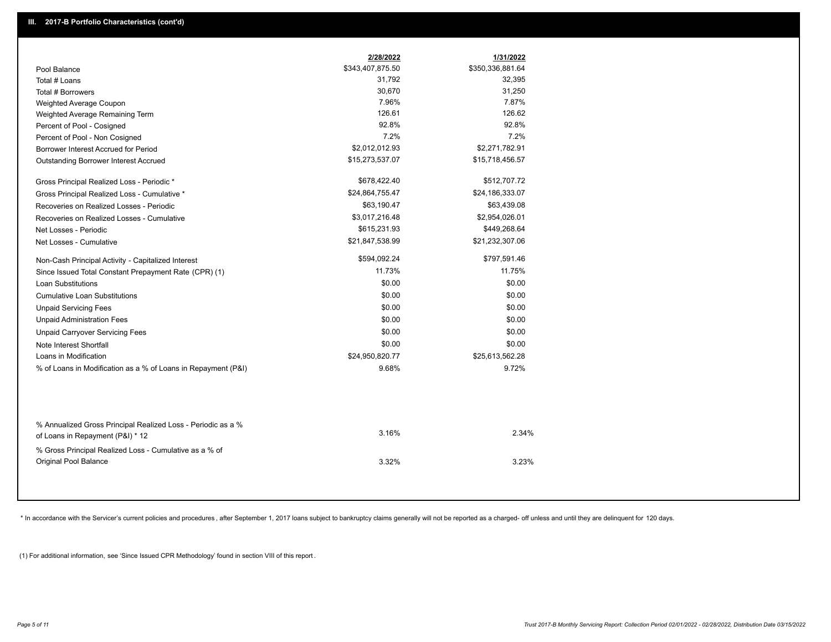|                                                                                                  | 2/28/2022        | 1/31/2022        |
|--------------------------------------------------------------------------------------------------|------------------|------------------|
| Pool Balance                                                                                     | \$343,407,875.50 | \$350,336,881.64 |
| Total # Loans                                                                                    | 31,792           | 32,395           |
| Total # Borrowers                                                                                | 30,670           | 31,250           |
| Weighted Average Coupon                                                                          | 7.96%            | 7.87%            |
| Weighted Average Remaining Term                                                                  | 126.61           | 126.62           |
| Percent of Pool - Cosigned                                                                       | 92.8%            | 92.8%            |
| Percent of Pool - Non Cosigned                                                                   | 7.2%             | 7.2%             |
| Borrower Interest Accrued for Period                                                             | \$2,012,012.93   | \$2,271,782.91   |
| Outstanding Borrower Interest Accrued                                                            | \$15,273,537.07  | \$15,718,456.57  |
| Gross Principal Realized Loss - Periodic *                                                       | \$678,422.40     | \$512,707.72     |
| Gross Principal Realized Loss - Cumulative *                                                     | \$24,864,755.47  | \$24,186,333.07  |
| Recoveries on Realized Losses - Periodic                                                         | \$63,190.47      | \$63,439.08      |
| Recoveries on Realized Losses - Cumulative                                                       | \$3,017,216.48   | \$2,954,026.01   |
| Net Losses - Periodic                                                                            | \$615,231.93     | \$449,268.64     |
| Net Losses - Cumulative                                                                          | \$21,847,538.99  | \$21,232,307.06  |
| Non-Cash Principal Activity - Capitalized Interest                                               | \$594,092.24     | \$797,591.46     |
| Since Issued Total Constant Prepayment Rate (CPR) (1)                                            | 11.73%           | 11.75%           |
| <b>Loan Substitutions</b>                                                                        | \$0.00           | \$0.00           |
| <b>Cumulative Loan Substitutions</b>                                                             | \$0.00           | \$0.00           |
| <b>Unpaid Servicing Fees</b>                                                                     | \$0.00           | \$0.00           |
| <b>Unpaid Administration Fees</b>                                                                | \$0.00           | \$0.00           |
| <b>Unpaid Carryover Servicing Fees</b>                                                           | \$0.00           | \$0.00           |
| Note Interest Shortfall                                                                          | \$0.00           | \$0.00           |
| Loans in Modification                                                                            | \$24,950,820.77  | \$25,613,562.28  |
| % of Loans in Modification as a % of Loans in Repayment (P&I)                                    | 9.68%            | 9.72%            |
|                                                                                                  |                  |                  |
| % Annualized Gross Principal Realized Loss - Periodic as a %<br>of Loans in Repayment (P&I) * 12 | 3.16%            | 2.34%            |
| % Gross Principal Realized Loss - Cumulative as a % of                                           |                  |                  |
| Original Pool Balance                                                                            | 3.32%            | 3.23%            |

\* In accordance with the Servicer's current policies and procedures, after September 1, 2017 loans subject to bankruptcy claims generally will not be reported as a charged- off unless and until they are delinquent for 120

(1) For additional information, see 'Since Issued CPR Methodology' found in section VIII of this report .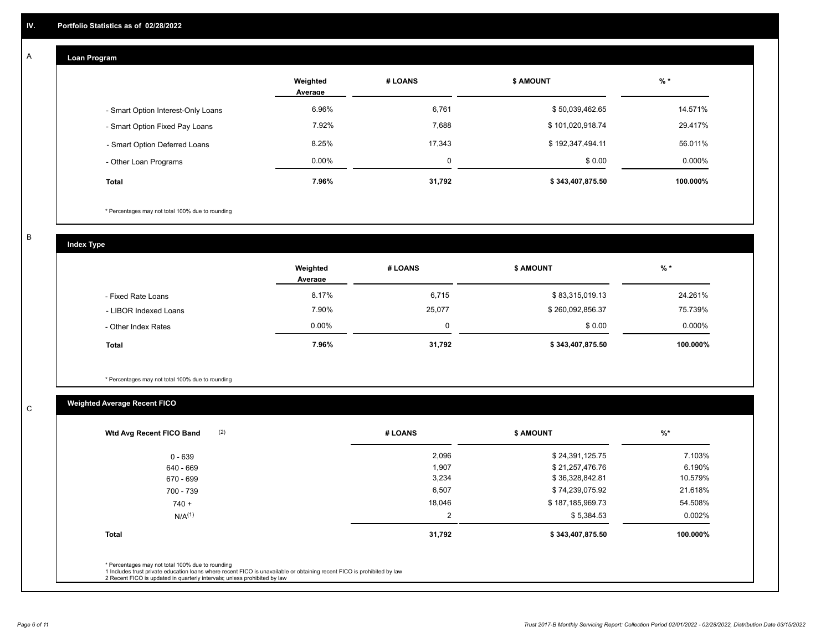#### **Loan Program**  A

|                                    | Weighted<br>Average | # LOANS | <b>\$ AMOUNT</b> | $%$ *     |
|------------------------------------|---------------------|---------|------------------|-----------|
| - Smart Option Interest-Only Loans | 6.96%               | 6,761   | \$50,039,462.65  | 14.571%   |
| - Smart Option Fixed Pay Loans     | 7.92%               | 7,688   | \$101,020,918.74 | 29.417%   |
| - Smart Option Deferred Loans      | 8.25%               | 17.343  | \$192,347,494.11 | 56.011%   |
| - Other Loan Programs              | $0.00\%$            | $\sim$  | \$0.00           | $0.000\%$ |
| <b>Total</b>                       | 7.96%               | 31,792  | \$343,407,875.50 | 100.000%  |

\* Percentages may not total 100% due to rounding

B

C

**Index Type**

|                       | Weighted<br>Average | # LOANS  | <b>\$ AMOUNT</b> | $%$ *     |
|-----------------------|---------------------|----------|------------------|-----------|
| - Fixed Rate Loans    | 8.17%               | 6,715    | \$83,315,019.13  | 24.261%   |
| - LIBOR Indexed Loans | 7.90%               | 25,077   | \$260,092,856.37 | 75.739%   |
| - Other Index Rates   | $0.00\%$            | $\Omega$ | \$0.00           | $0.000\%$ |
| <b>Total</b>          | 7.96%               | 31,792   | \$343,407,875.50 | 100.000%  |

\* Percentages may not total 100% due to rounding

# **Weighted Average Recent FICO**

| (2)<br>Wtd Avg Recent FICO Band                                                                                                                                                                                                                          | # LOANS | <b>\$ AMOUNT</b> | $\frac{9}{6}$ * |
|----------------------------------------------------------------------------------------------------------------------------------------------------------------------------------------------------------------------------------------------------------|---------|------------------|-----------------|
| 0 - 639                                                                                                                                                                                                                                                  | 2,096   | \$24,391,125.75  | 7.103%          |
| 640 - 669                                                                                                                                                                                                                                                | 1,907   | \$21,257,476.76  | 6.190%          |
| 670 - 699                                                                                                                                                                                                                                                | 3,234   | \$36,328,842.81  | 10.579%         |
| 700 - 739                                                                                                                                                                                                                                                | 6,507   | \$74,239,075.92  | 21.618%         |
| $740 +$                                                                                                                                                                                                                                                  | 18,046  | \$187,185,969.73 | 54.508%         |
| N/A <sup>(1)</sup>                                                                                                                                                                                                                                       | 2       | \$5,384.53       | 0.002%          |
| <b>Total</b>                                                                                                                                                                                                                                             | 31,792  | \$343,407,875.50 | 100.000%        |
|                                                                                                                                                                                                                                                          |         |                  |                 |
| * Percentages may not total 100% due to rounding<br>1 Includes trust private education loans where recent FICO is unavailable or obtaining recent FICO is prohibited by law<br>2 Recent FICO is updated in quarterly intervals; unless prohibited by law |         |                  |                 |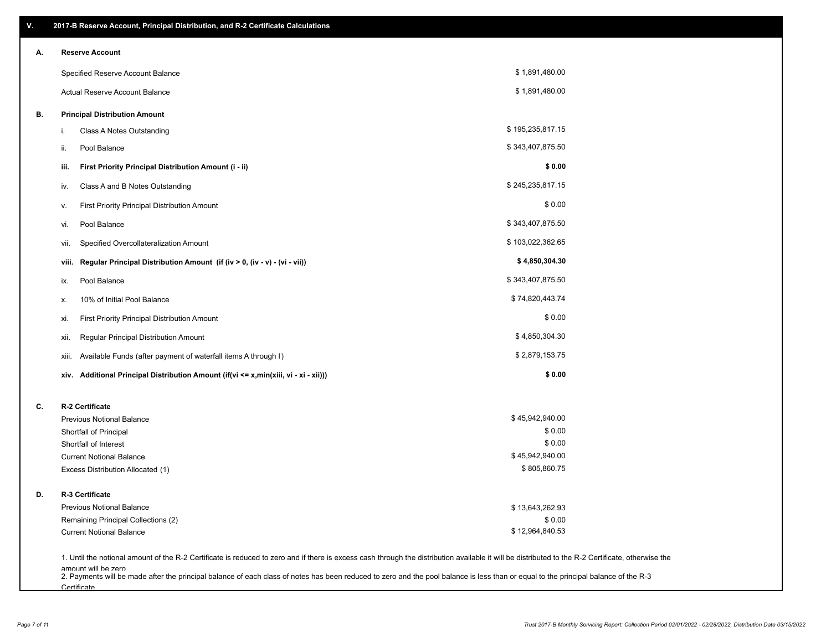| V. | 2017-B Reserve Account, Principal Distribution, and R-2 Certificate Calculations                                                                                                                                          |                  |  |
|----|---------------------------------------------------------------------------------------------------------------------------------------------------------------------------------------------------------------------------|------------------|--|
| А. | <b>Reserve Account</b>                                                                                                                                                                                                    |                  |  |
|    | Specified Reserve Account Balance                                                                                                                                                                                         | \$1,891,480.00   |  |
|    | Actual Reserve Account Balance                                                                                                                                                                                            | \$1,891,480.00   |  |
| В. | <b>Principal Distribution Amount</b>                                                                                                                                                                                      |                  |  |
|    | Class A Notes Outstanding<br>i.                                                                                                                                                                                           | \$195,235,817.15 |  |
|    | Pool Balance<br>ii.                                                                                                                                                                                                       | \$343,407,875.50 |  |
|    | First Priority Principal Distribution Amount (i - ii)<br>iii.                                                                                                                                                             | \$0.00           |  |
|    | Class A and B Notes Outstanding<br>iv.                                                                                                                                                                                    | \$245,235,817.15 |  |
|    | First Priority Principal Distribution Amount<br>۷.                                                                                                                                                                        | \$0.00           |  |
|    | Pool Balance<br>VI.                                                                                                                                                                                                       | \$343,407,875.50 |  |
|    | Specified Overcollateralization Amount<br>vii.                                                                                                                                                                            | \$103,022,362.65 |  |
|    | Regular Principal Distribution Amount (if (iv > 0, (iv - v) - (vi - vii))<br>viii.                                                                                                                                        | \$4,850,304.30   |  |
|    | Pool Balance<br>ix.                                                                                                                                                                                                       | \$343,407,875.50 |  |
|    | 10% of Initial Pool Balance<br>х.                                                                                                                                                                                         | \$74,820,443.74  |  |
|    | First Priority Principal Distribution Amount<br>xi.                                                                                                                                                                       | \$0.00           |  |
|    | Regular Principal Distribution Amount<br>xii.                                                                                                                                                                             | \$4,850,304.30   |  |
|    | Available Funds (after payment of waterfall items A through I)<br>xiii.                                                                                                                                                   | \$2,879,153.75   |  |
|    | Additional Principal Distribution Amount (if(vi <= x,min(xiii, vi - xi - xii)))<br>xiv.                                                                                                                                   | \$0.00           |  |
| C. | R-2 Certificate                                                                                                                                                                                                           |                  |  |
|    | <b>Previous Notional Balance</b>                                                                                                                                                                                          | \$45,942,940.00  |  |
|    | Shortfall of Principal                                                                                                                                                                                                    | \$0.00           |  |
|    | Shortfall of Interest                                                                                                                                                                                                     | \$0.00           |  |
|    | <b>Current Notional Balance</b>                                                                                                                                                                                           | \$45,942,940.00  |  |
|    | Excess Distribution Allocated (1)                                                                                                                                                                                         | \$805,860.75     |  |
| D. | R-3 Certificate                                                                                                                                                                                                           |                  |  |
|    | <b>Previous Notional Balance</b>                                                                                                                                                                                          | \$13,643,262.93  |  |
|    | Remaining Principal Collections (2)                                                                                                                                                                                       | \$0.00           |  |
|    | <b>Current Notional Balance</b>                                                                                                                                                                                           | \$12,964,840.53  |  |
|    | 1. Until the notional amount of the R-2 Certificate is reduced to zero and if there is excess cash through the distribution available it will be distributed to the R-2 Certificate, otherwise the<br>amount will be zero |                  |  |

amount will be zero<br>2. Payments will be made after the principal balance of each class of notes has been reduced to zero and the pool balance is less than or equal to the principal balance of the R-3 **Certificate**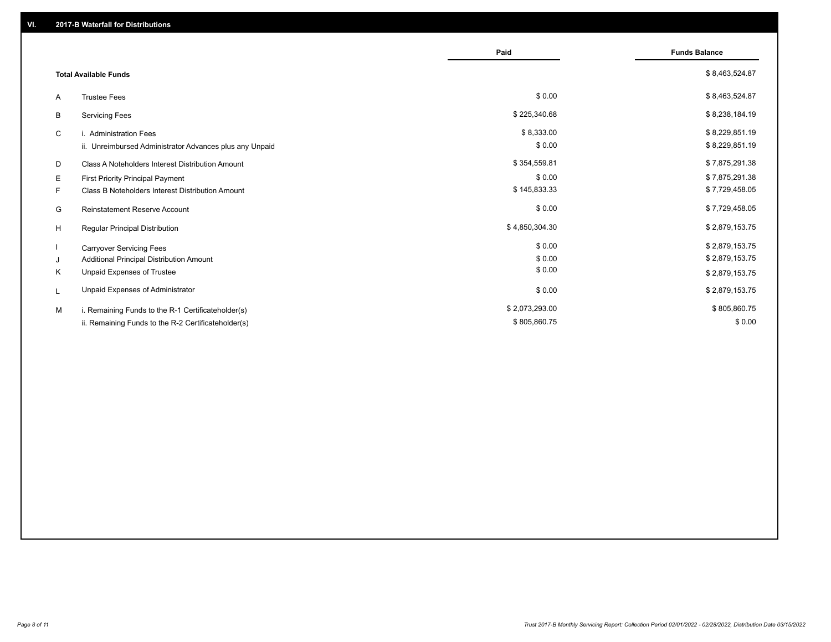|                              |                                                         | Paid           | <b>Funds Balance</b> |
|------------------------------|---------------------------------------------------------|----------------|----------------------|
| <b>Total Available Funds</b> |                                                         |                | \$8,463,524.87       |
| A                            | <b>Trustee Fees</b>                                     | \$0.00         | \$8,463,524.87       |
| В                            | <b>Servicing Fees</b>                                   | \$225,340.68   | \$8,238,184.19       |
| C                            | i. Administration Fees                                  | \$8,333.00     | \$8,229,851.19       |
|                              | ii. Unreimbursed Administrator Advances plus any Unpaid | \$0.00         | \$8,229,851.19       |
| D                            | Class A Noteholders Interest Distribution Amount        | \$354,559.81   | \$7,875,291.38       |
| Е                            | First Priority Principal Payment                        | \$0.00         | \$7,875,291.38       |
| F.                           | Class B Noteholders Interest Distribution Amount        | \$145,833.33   | \$7,729,458.05       |
| G                            | <b>Reinstatement Reserve Account</b>                    | \$0.00         | \$7,729,458.05       |
| H                            | Regular Principal Distribution                          | \$4,850,304.30 | \$2,879,153.75       |
|                              | <b>Carryover Servicing Fees</b>                         | \$0.00         | \$2,879,153.75       |
| J                            | Additional Principal Distribution Amount                | \$0.00         | \$2,879,153.75       |
| Κ                            | Unpaid Expenses of Trustee                              | \$0.00         | \$2,879,153.75       |
| L                            | Unpaid Expenses of Administrator                        | \$0.00         | \$2,879,153.75       |
| M                            | i. Remaining Funds to the R-1 Certificateholder(s)      | \$2,073,293.00 | \$805,860.75         |
|                              | ii. Remaining Funds to the R-2 Certificateholder(s)     | \$805,860.75   | \$0.00               |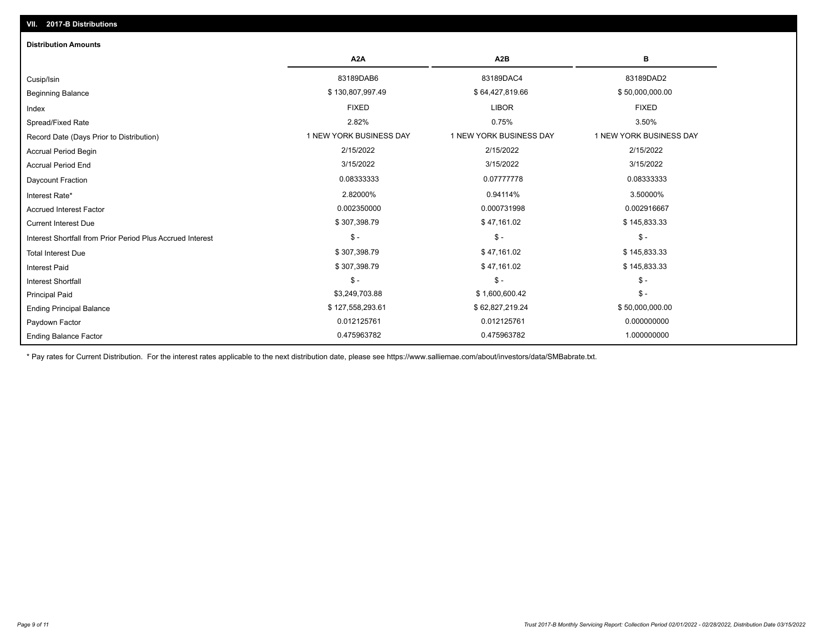| <b>Distribution Amounts</b>                                |                         |                         |                         |
|------------------------------------------------------------|-------------------------|-------------------------|-------------------------|
|                                                            | A <sub>2</sub> A        | A <sub>2</sub> B        | в                       |
| Cusip/Isin                                                 | 83189DAB6               | 83189DAC4               | 83189DAD2               |
| <b>Beginning Balance</b>                                   | \$130,807,997.49        | \$64,427,819.66         | \$50,000,000.00         |
| Index                                                      | <b>FIXED</b>            | <b>LIBOR</b>            | <b>FIXED</b>            |
| Spread/Fixed Rate                                          | 2.82%                   | 0.75%                   | 3.50%                   |
| Record Date (Days Prior to Distribution)                   | 1 NEW YORK BUSINESS DAY | 1 NEW YORK BUSINESS DAY | 1 NEW YORK BUSINESS DAY |
| <b>Accrual Period Begin</b>                                | 2/15/2022               | 2/15/2022               | 2/15/2022               |
| <b>Accrual Period End</b>                                  | 3/15/2022               | 3/15/2022               | 3/15/2022               |
| Daycount Fraction                                          | 0.08333333              | 0.07777778              | 0.08333333              |
| Interest Rate*                                             | 2.82000%                | 0.94114%                | 3.50000%                |
| <b>Accrued Interest Factor</b>                             | 0.002350000             | 0.000731998             | 0.002916667             |
| <b>Current Interest Due</b>                                | \$307,398.79            | \$47,161.02             | \$145,833.33            |
| Interest Shortfall from Prior Period Plus Accrued Interest | $\mathcal{S}$ -         | $$ -$                   | $\mathsf{\$}$ -         |
| <b>Total Interest Due</b>                                  | \$307,398.79            | \$47,161.02             | \$145,833.33            |
| <b>Interest Paid</b>                                       | \$307,398.79            | \$47,161.02             | \$145,833.33            |
| <b>Interest Shortfall</b>                                  | $\mathsf{\$}$ -         | $$ -$                   | $\mathsf{\$}$ -         |
| <b>Principal Paid</b>                                      | \$3,249,703.88          | \$1,600,600.42          | $\mathsf{\$}$ -         |
| <b>Ending Principal Balance</b>                            | \$127,558,293.61        | \$62,827,219.24         | \$50,000,000.00         |
| Paydown Factor                                             | 0.012125761             | 0.012125761             | 0.000000000             |
| <b>Ending Balance Factor</b>                               | 0.475963782             | 0.475963782             | 1.000000000             |

\* Pay rates for Current Distribution. For the interest rates applicable to the next distribution date, please see https://www.salliemae.com/about/investors/data/SMBabrate.txt.

**VII. 2017-B Distributions**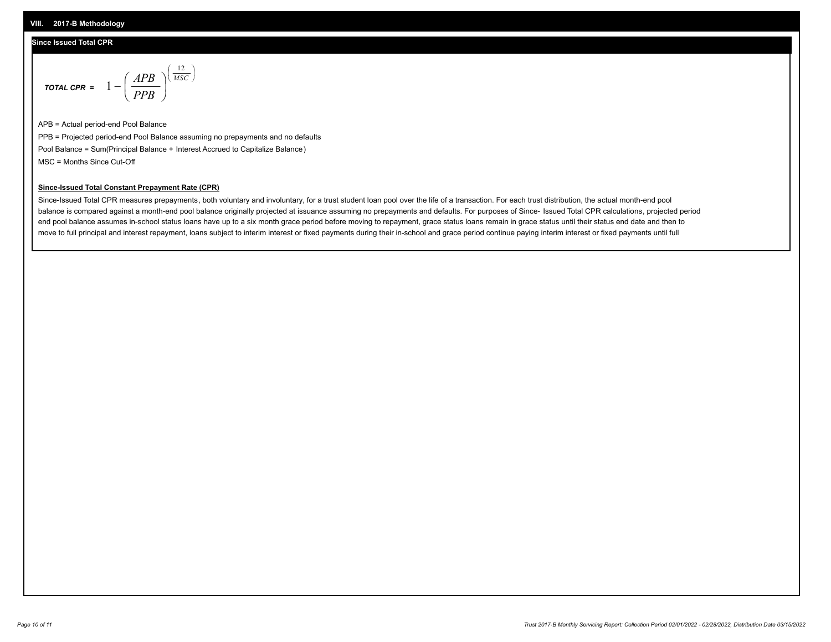### **Since Issued Total CPR**

$$
\text{total cPR} = 1 - \left(\frac{APB}{PPB}\right)^{\left(\frac{12}{MSC}\right)}
$$

APB = Actual period-end Pool Balance PPB = Projected period-end Pool Balance assuming no prepayments and no defaults Pool Balance = Sum(Principal Balance + Interest Accrued to Capitalize Balance) MSC = Months Since Cut-Off

I J Ι

#### **Since-Issued Total Constant Prepayment Rate (CPR)**

Since-Issued Total CPR measures prepayments, both voluntary and involuntary, for a trust student loan pool over the life of a transaction. For each trust distribution, the actual month-end pool balance is compared against a month-end pool balance originally projected at issuance assuming no prepayments and defaults. For purposes of Since- Issued Total CPR calculations, projected period end pool balance assumes in-school status loans have up to a six month grace period before moving to repayment, grace status loans remain in grace status until their status end date and then to move to full principal and interest repayment, loans subject to interim interest or fixed payments during their in-school and grace period continue paying interim interest or fixed payments until full